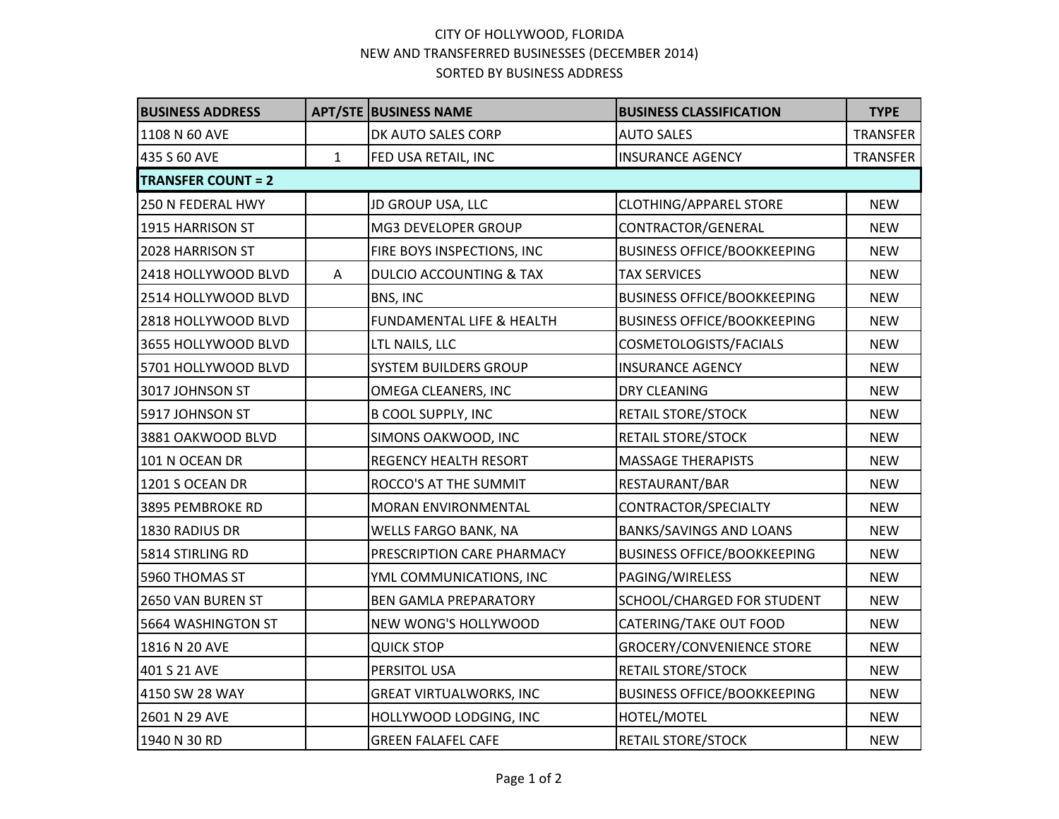## CITY OF HOLLYWOOD, FLORIDA NEW AND TRANSFERRED BUSINESSES (DECEMBER 2014) SORTED BY BUSINESS ADDRESS

| <b>BUSINESS ADDRESS</b>   |              | <b>APT/STE BUSINESS NAME</b>       | <b>BUSINESS CLASSIFICATION</b>     | <b>TYPE</b>     |  |  |  |
|---------------------------|--------------|------------------------------------|------------------------------------|-----------------|--|--|--|
| 1108 N 60 AVE             |              | DK AUTO SALES CORP                 | <b>AUTO SALES</b>                  | <b>TRANSFER</b> |  |  |  |
| 435 S 60 AVE              | $\mathbf{1}$ | FED USA RETAIL, INC                | <b>INSURANCE AGENCY</b>            | <b>TRANSFER</b> |  |  |  |
| <b>TRANSFER COUNT = 2</b> |              |                                    |                                    |                 |  |  |  |
| 250 N FEDERAL HWY         |              | JD GROUP USA, LLC                  | <b>CLOTHING/APPAREL STORE</b>      | <b>NEW</b>      |  |  |  |
| 1915 HARRISON ST          |              | MG3 DEVELOPER GROUP                | CONTRACTOR/GENERAL                 | <b>NEW</b>      |  |  |  |
| 2028 HARRISON ST          |              | FIRE BOYS INSPECTIONS, INC         | <b>BUSINESS OFFICE/BOOKKEEPING</b> | <b>NEW</b>      |  |  |  |
| 2418 HOLLYWOOD BLVD       | A            | <b>DULCIO ACCOUNTING &amp; TAX</b> | <b>TAX SERVICES</b>                | <b>NEW</b>      |  |  |  |
| 2514 HOLLYWOOD BLVD       |              | BNS, INC                           | <b>BUSINESS OFFICE/BOOKKEEPING</b> | <b>NEW</b>      |  |  |  |
| 2818 HOLLYWOOD BLVD       |              | FUNDAMENTAL LIFE & HEALTH          | <b>BUSINESS OFFICE/BOOKKEEPING</b> | <b>NEW</b>      |  |  |  |
| 3655 HOLLYWOOD BLVD       |              | LTL NAILS, LLC                     | COSMETOLOGISTS/FACIALS             | <b>NEW</b>      |  |  |  |
| 5701 HOLLYWOOD BLVD       |              | <b>SYSTEM BUILDERS GROUP</b>       | <b>INSURANCE AGENCY</b>            | <b>NEW</b>      |  |  |  |
| 3017 JOHNSON ST           |              | OMEGA CLEANERS, INC                | <b>DRY CLEANING</b>                | <b>NEW</b>      |  |  |  |
| 5917 JOHNSON ST           |              | <b>B COOL SUPPLY, INC</b>          | RETAIL STORE/STOCK                 | <b>NEW</b>      |  |  |  |
| 3881 OAKWOOD BLVD         |              | SIMONS OAKWOOD, INC                | <b>RETAIL STORE/STOCK</b>          | <b>NEW</b>      |  |  |  |
| 101 N OCEAN DR            |              | <b>REGENCY HEALTH RESORT</b>       | <b>MASSAGE THERAPISTS</b>          | <b>NEW</b>      |  |  |  |
| 1201 S OCEAN DR           |              | ROCCO'S AT THE SUMMIT              | RESTAURANT/BAR                     | <b>NEW</b>      |  |  |  |
| 3895 PEMBROKE RD          |              | MORAN ENVIRONMENTAL                | CONTRACTOR/SPECIALTY               | <b>NEW</b>      |  |  |  |
| 1830 RADIUS DR            |              | WELLS FARGO BANK, NA               | <b>BANKS/SAVINGS AND LOANS</b>     | <b>NEW</b>      |  |  |  |
| 5814 STIRLING RD          |              | PRESCRIPTION CARE PHARMACY         | <b>BUSINESS OFFICE/BOOKKEEPING</b> | <b>NEW</b>      |  |  |  |
| 5960 THOMAS ST            |              | YML COMMUNICATIONS, INC            | PAGING/WIRELESS                    | <b>NEW</b>      |  |  |  |
| 2650 VAN BUREN ST         |              | <b>BEN GAMLA PREPARATORY</b>       | SCHOOL/CHARGED FOR STUDENT         | <b>NEW</b>      |  |  |  |
| 5664 WASHINGTON ST        |              | NEW WONG'S HOLLYWOOD               | CATERING/TAKE OUT FOOD             | <b>NEW</b>      |  |  |  |
| 1816 N 20 AVE             |              | <b>QUICK STOP</b>                  | GROCERY/CONVENIENCE STORE          | <b>NEW</b>      |  |  |  |
| 401 S 21 AVE              |              | PERSITOL USA                       | <b>RETAIL STORE/STOCK</b>          | <b>NEW</b>      |  |  |  |
| 4150 SW 28 WAY            |              | <b>GREAT VIRTUALWORKS, INC</b>     | <b>BUSINESS OFFICE/BOOKKEEPING</b> | <b>NEW</b>      |  |  |  |
| 2601 N 29 AVE             |              | HOLLYWOOD LODGING, INC             | HOTEL/MOTEL                        | <b>NEW</b>      |  |  |  |
| 1940 N 30 RD              |              | <b>GREEN FALAFEL CAFE</b>          | <b>RETAIL STORE/STOCK</b>          | <b>NEW</b>      |  |  |  |